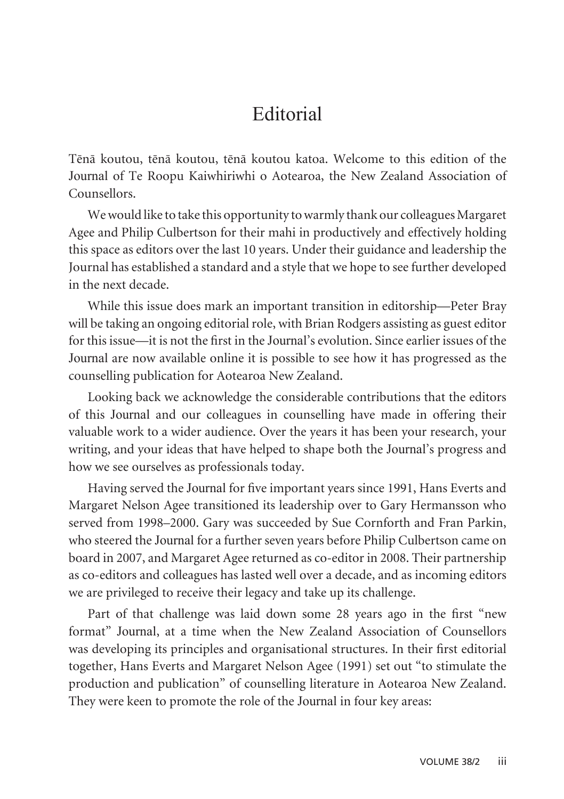## **Editorial**

Tënä koutou, tënä koutou, tënä koutou katoa. Welcome to this edition of the Journal of Te Roopu Kaiwhiriwhi o Aotearoa, the New Zealand Association of Counsellors.

We would like to take this opportunity to warmly thank our colleagues Margaret Agee and Philip Culbertson for their mahi in productively and effectively holding this space as editors over the last 10 years. Under their guidance and leadership the Journal has established a standard and a style that we hope to see further developed in the next decade.

While this issue does mark an important transition in editorship—Peter Bray will be taking an ongoing editorial role, with Brian Rodgers assisting as guest editor for this issue—it is not the first in the Journal's evolution. Since earlier issues of the Journal are now available online it is possible to see how it has progressed as the counselling publication for Aotearoa New Zealand.

Looking back we acknowledge the considerable contributions that the editors of this Journal and our colleagues in counselling have made in offering their valuable work to a wider audience. Over the years it has been your research, your writing, and your ideas that have helped to shape both the Journal's progress and how we see ourselves as professionals today.

Having served the Journal for five important years since 1991, Hans Everts and Margaret Nelson Agee transitioned its leadership over to Gary Hermansson who served from 1998–2000. Gary was succeeded by Sue Cornforth and Fran Parkin, who steered the Journal for a further seven years before Philip Culbertson came on board in 2007, and Margaret Agee returned as co-editor in 2008. Their partnership as co-editors and colleagues has lasted well over a decade, and as incoming editors we are privileged to receive their legacy and take up its challenge.

Part of that challenge was laid down some 28 years ago in the first "new format" Journal, at a time when the New Zealand Association of Counsellors was developing its principles and organisational structures. In their first editorial together, Hans Everts and Margaret Nelson Agee (1991) set out "to stimulate the production and publication" of counselling literature in Aotearoa New Zealand. They were keen to promote the role of the Journal in four key areas: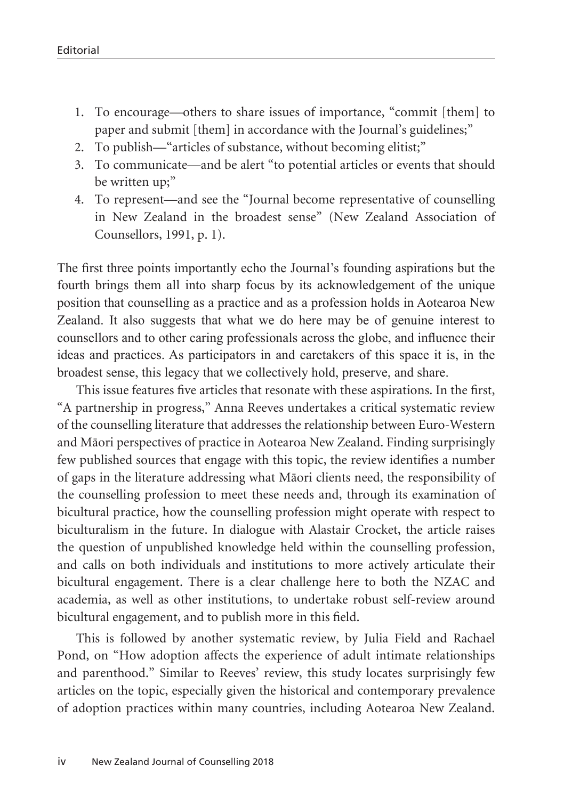- 1. To encourage—others to share issues of importance, "commit [them] to paper and submit [them] in accordance with the Journal's guidelines;"
- 2. To publish—"articles of substance, without becoming elitist;"
- 3. To communicate—and be alert "to potential articles or events that should be written up;"
- 4. To represent—and see the "Journal become representative of counselling in New Zealand in the broadest sense" (New Zealand Association of Counsellors, 1991, p. 1).

The first three points importantly echo the Journal's founding aspirations but the fourth brings them all into sharp focus by its acknowledgement of the unique position that counselling as a practice and as a profession holds in Aotearoa New Zealand. It also suggests that what we do here may be of genuine interest to counsellors and to other caring professionals across the globe, and influence their ideas and practices. As participators in and caretakers of this space it is, in the broadest sense, this legacy that we collectively hold, preserve, and share.

This issue features five articles that resonate with these aspirations. In the first, "A partnership in progress," Anna Reeves undertakes a critical systematic review of the counselling literature that addresses the relationship between Euro-Western and Mäori perspectives of practice in Aotearoa New Zealand. Finding surprisingly few published sources that engage with this topic, the review identifies a number of gaps in the literature addressing what Mäori clients need, the responsibility of the counselling profession to meet these needs and, through its examination of bicultural practice, how the counselling profession might operate with respect to biculturalism in the future. In dialogue with Alastair Crocket, the article raises the question of unpublished knowledge held within the counselling profession, and calls on both individuals and institutions to more actively articulate their bicultural engagement. There is a clear challenge here to both the NZAC and academia, as well as other institutions, to undertake robust self-review around bicultural engagement, and to publish more in this field.

This is followed by another systematic review, by Julia Field and Rachael Pond, on "How adoption affects the experience of adult intimate relationships and parenthood." Similar to Reeves' review, this study locates surprisingly few articles on the topic, especially given the historical and contemporary prevalence of adoption practices within many countries, including Aotearoa New Zealand.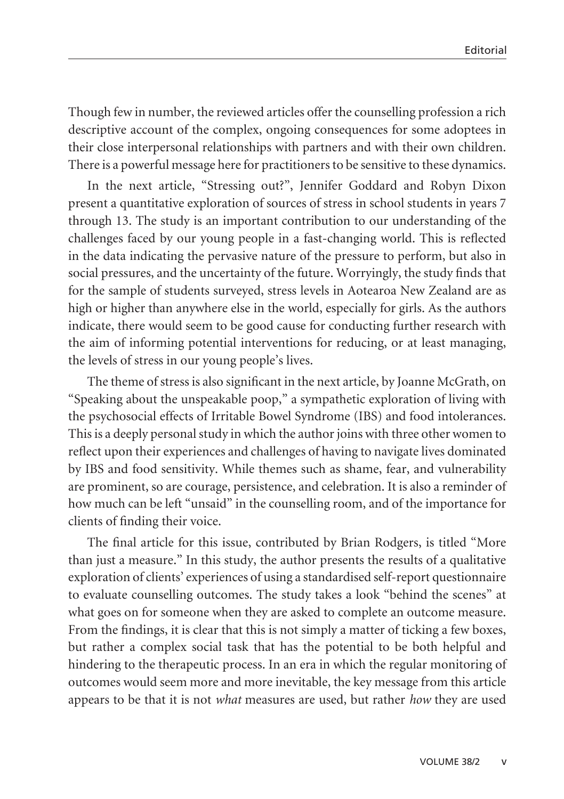Though few in number, the reviewed articles offer the counselling profession a rich descriptive account of the complex, ongoing consequences for some adoptees in their close interpersonal relationships with partners and with their own children. There is a powerful message here for practitioners to be sensitive to these dynamics.

In the next article, "Stressing out?", Jennifer Goddard and Robyn Dixon present a quantitative exploration of sources of stress in school students in years 7 through 13. The study is an important contribution to our understanding of the challenges faced by our young people in a fast-changing world. This is reflected in the data indicating the pervasive nature of the pressure to perform, but also in social pressures, and the uncertainty of the future. Worryingly, the study finds that for the sample of students surveyed, stress levels in Aotearoa New Zealand are as high or higher than anywhere else in the world, especially for girls. As the authors indicate, there would seem to be good cause for conducting further research with the aim of informing potential interventions for reducing, or at least managing, the levels of stress in our young people's lives.

The theme of stress is also significant in the next article, by Joanne McGrath, on "Speaking about the unspeakable poop," a sympathetic exploration of living with the psychosocial effects of Irritable Bowel Syndrome (IBS) and food intolerances. This is a deeply personal study in which the author joins with three other women to reflect upon their experiences and challenges of having to navigate lives dominated by IBS and food sensitivity. While themes such as shame, fear, and vulnerability are prominent, so are courage, persistence, and celebration. It is also a reminder of how much can be left "unsaid" in the counselling room, and of the importance for clients of finding their voice.

The final article for this issue, contributed by Brian Rodgers, is titled "More than just a measure." In this study, the author presents the results of a qualitative exploration of clients' experiences of using a standardised self-report questionnaire to evaluate counselling outcomes. The study takes a look "behind the scenes" at what goes on for someone when they are asked to complete an outcome measure. From the findings, it is clear that this is not simply a matter of ticking a few boxes, but rather a complex social task that has the potential to be both helpful and hindering to the therapeutic process. In an era in which the regular monitoring of outcomes would seem more and more inevitable, the key message from this article appears to be that it is not *what* measures are used, but rather *how* they are used